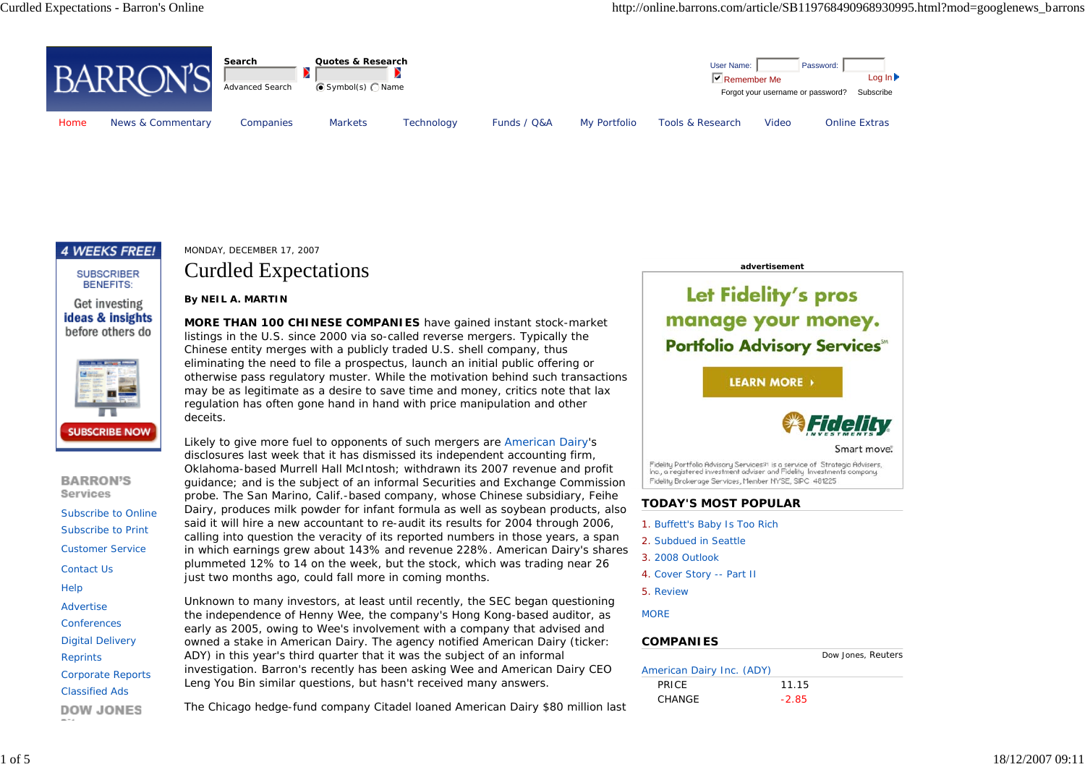



#### **SUBSCRIBER BENEFITS:**

Get investing ideas & insights before others do



**BARRON'S Services** Subscribe to OnlineSubscribe to PrintCustomer Service Contact Us Help Advertise **Conferences** Digital Delivery **Reprints** Corporate Reports Classified Ads**DOW JONES** 

### MONDAY, DECEMBER 17, 2007

# Curdled Expectations

#### **By NEIL A. MARTIN**

**MORE THAN 100 CHINESE COMPANIES** have gained instant stock-market listings in the U.S. since 2000 via so-called reverse mergers. Typically the Chinese entity merges with a publicly traded U.S. shell company, thus eliminating the need to file a prospectus, launch an initial public offering or otherwise pass regulatory muster. While the motivation behind such transactions may be as legitimate as a desire to save time and money, critics note that lax regulation has often gone hand in hand with price manipulation and other deceits.

Likely to give more fuel to opponents of such mergers are American Dairy's disclosures last week that it has dismissed its independent accounting firm, Oklahoma-based Murrell Hall McIntosh; withdrawn its 2007 revenue and profit guidance; and is the subject of an informal Securities and Exchange Commission probe. The San Marino, Calif.-based company, whose Chinese subsidiary, Feihe Dairy, produces milk powder for infant formula as well as soybean products, also said it will hire a new accountant to re-audit its results for 2004 through 2006, calling into question the veracity of its reported numbers in those years, a span in which earnings grew about 143% and revenue 228%. American Dairy's shares plummeted 12% to 14 on the week, but the stock, which was trading near 26 just two months ago, could fall more in coming months.

Unknown to many investors, at least until recently, the SEC began questioning the independence of Henny Wee, the company's Hong Kong-based auditor, as early as 2005, owing to Wee's involvement with a company that advised and owned a stake in American Dairy. The agency notified American Dairy (ticker: ADY) in this year's third quarter that it was the subject of an informal investigation. *Barron's* recently has been asking Wee and American Dairy CEO Leng You Bin similar questions, but hasn't received many answers.

The Chicago hedge-fund company Citadel loaned American Dairy \$80 million last

Let Fidelity's pros manage your money. **Portfolio Advisory Services** 

**advertisement**

**LEARN MORE** 



Smart move.

Fidelity Portfolio Advisory Services<sup>91</sup> is a service of Strategic Advisers,<br>Inc., a registered investment adviser and Fidelity Investments company. Fidelity Brokerage Services, Member NYSE, SIPC 481225

## **TODAY'S MOST POPULAR**

- 1. Buffett's Baby Is Too Rich
- 2. Subdued in Seattle
- 3. 2008 Outlook
- 4. Cover Story -- Part II
- 5. Review

**MORE** 

#### **COMPANIES**

|                           |         | Dow Jones, Reuters |
|---------------------------|---------|--------------------|
| American Dairy Inc. (ADY) |         |                    |
| <b>PRICE</b>              | 11.15   |                    |
| CHANGE                    | $-2.85$ |                    |
|                           |         |                    |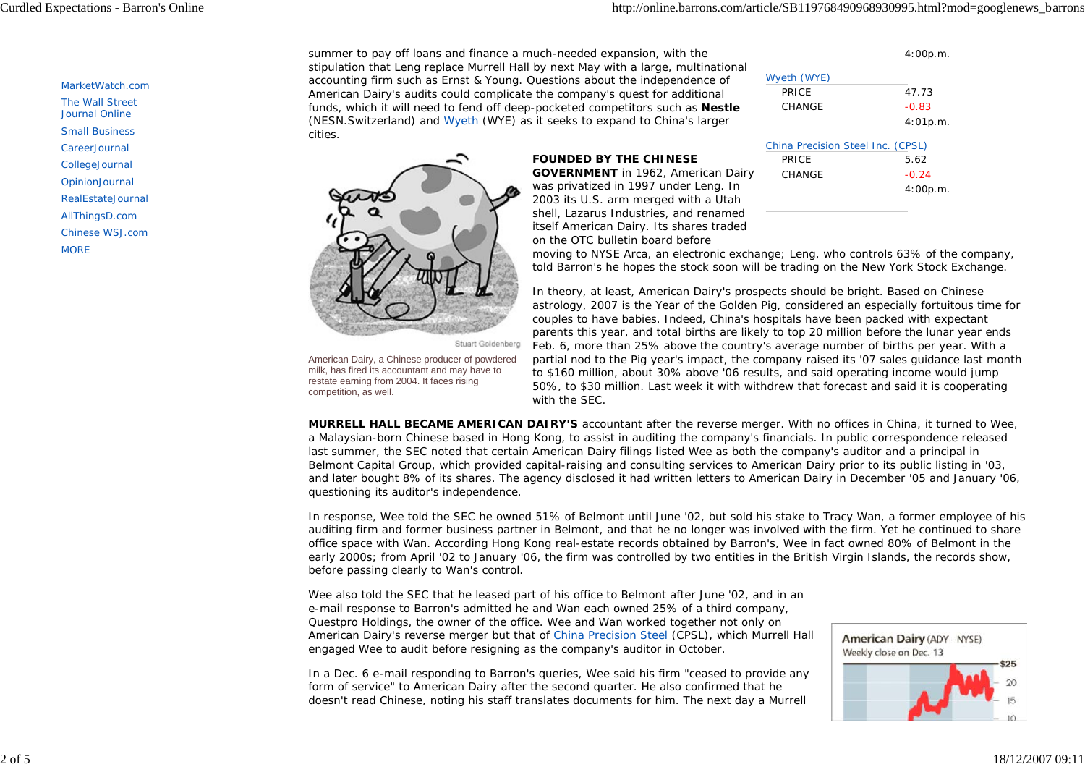4:00p.m.

#### MarketWatch.com

- The Wall Street
- Journal Online Small Business
- CareerJournal
- CollegeJournal
- OpinionJournal
- RealEstateJournal
- AllThingsD.com
- Chinese WSJ.com
- **MORE**

summer to pay off loans and finance a much-needed expansion, with the stipulation that Leng replace Murrell Hall by next May with a large, multinational accounting firm such as Ernst & Young. Questions about the independence of American Dairy's audits could complicate the company's quest for additional funds, which it will need to fend off deep-pocketed competitors such as **Nestle** (NESN.Switzerland) and Wyeth (WYE) as it seeks to expand to China's larger cities.

on the OTC bulletin board before



Stuart Goldenberg

American Dairy, a Chinese producer of powdered milk, has fired its accountant and may have to restate earning from 2004. It faces rising competition, as well.

| . | Wyeth (WYE)  |          |
|---|--------------|----------|
|   | <b>PRICE</b> | 47.73    |
| э | CHANGE       | $-0.83$  |
|   |              | 4:01p.m. |
|   |              |          |

|                                           | <b>UITHIA FIGUD</b> |
|-------------------------------------------|---------------------|
| <b>FOUNDED BY THE CHINESE</b>             | <b>PRICE</b>        |
| <b>GOVERNMENT</b> in 1962, American Dairy | CHANGE              |
| was privatized in 1997 under Leng. In     |                     |
| 2003 its U.S. arm merged with a Utah      |                     |
| shell, Lazarus Industries, and renamed    |                     |
| itself American Dairy. Its shares traded  |                     |

| China Precision Steel Inc. (CPSL) |          |
|-----------------------------------|----------|
| PRICE                             | 5.62     |
| CHANGE                            | $-0.24$  |
|                                   | 4:00p.m. |
|                                   |          |

moving to NYSE Arca, an electronic exchange; Leng, who controls 63% of the company, told *Barron's* he hopes the stock soon will be trading on the New York Stock Exchange.

In theory, at least, American Dairy's prospects should be bright. Based on Chinese astrology, 2007 is the Year of the Golden Pig, considered an especially fortuitous time for couples to have babies. Indeed, China's hospitals have been packed with expectant parents this year, and total births are likely to top 20 million before the lunar year ends Feb. 6, more than 25% above the country's average number of births per year. With a partial nod to the Pig year's impact, the company raised its '07 sales guidance last month to \$160 million, about 30% above '06 results, and said operating income would jump 50%, to \$30 million. Last week it with withdrew that forecast and said it is cooperating with the SEC.

**MURRELL HALL BECAME AMERICAN DAIRY'S** accountant after the reverse merger. With no offices in China, it turned to Wee, a Malaysian-born Chinese based in Hong Kong, to assist in auditing the company's financials. In public correspondence released last summer, the SEC noted that certain American Dairy filings listed Wee as both the company's auditor and a principal in Belmont Capital Group, which provided capital-raising and consulting services to American Dairy prior to its public listing in '03, and later bought 8% of its shares. The agency disclosed it had written letters to American Dairy in December '05 and January '06, questioning its auditor's independence.

In response, Wee told the SEC he owned 51% of Belmont until June '02, but sold his stake to Tracy Wan, a former employee of his auditing firm and former business partner in Belmont, and that he no longer was involved with the firm. Yet he continued to share office space with Wan. According Hong Kong real-estate records obtained by *Barron's*, Wee in fact owned 80% of Belmont in the early 2000s; from April '02 to January '06, the firm was controlled by two entities in the British Virgin Islands, the records show, before passing clearly to Wan's control.

Wee also told the SEC that he leased part of his office to Belmont after June '02, and in an e-mail response to *Barron's* admitted he and Wan each owned 25% of a third company, Questpro Holdings, the owner of the office. Wee and Wan worked together not only on American Dairy's reverse merger but that of China Precision Steel (CPSL), which Murrell Hall engaged Wee to audit before resigning as the company's auditor in October.

In a Dec. 6 e-mail responding to *Barron's* queries, Wee said his firm "ceased to provide any form of service" to American Dairy after the second quarter. He also confirmed that he doesn't read Chinese, noting his staff translates documents for him. The next day a Murrell